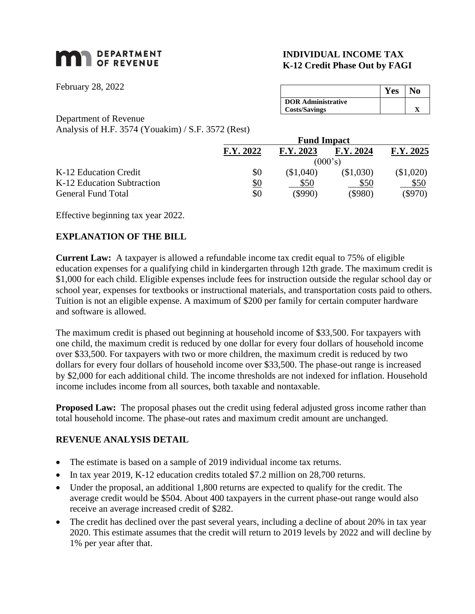# **MAN** DEPARTMENT

February 28, 2022

# **INDIVIDUAL INCOME TAX K-12 Credit Phase Out by FAGI**

|                           | <b>Yes</b> | N٥ |
|---------------------------|------------|----|
| <b>DOR Administrative</b> |            |    |
| <b>Costs/Savings</b>      |            |    |

Department of Revenue

Analysis of H.F. 3574 (Youakim) / S.F. 3572 (Rest)

|                            | <b>Fund Impact</b> |           |            |           |
|----------------------------|--------------------|-----------|------------|-----------|
|                            | F.Y. 2022          | F.Y. 2023 | F.Y. 2024  | F.Y. 2025 |
|                            | (000's)            |           |            |           |
| K-12 Education Credit      | \$0                | (\$1,040) | (\$1,030)  | (\$1,020) |
| K-12 Education Subtraction | <u>\$0</u>         | \$50      | \$50       | \$50      |
| <b>General Fund Total</b>  | \$0                | (\$990)   | $($ \$980) | $(\$970)$ |

Effective beginning tax year 2022.

## **EXPLANATION OF THE BILL**

**Current Law:** A taxpayer is allowed a refundable income tax credit equal to 75% of eligible education expenses for a qualifying child in kindergarten through 12th grade. The maximum credit is \$1,000 for each child. Eligible expenses include fees for instruction outside the regular school day or school year, expenses for textbooks or instructional materials, and transportation costs paid to others. Tuition is not an eligible expense. A maximum of \$200 per family for certain computer hardware and software is allowed.

The maximum credit is phased out beginning at household income of \$33,500. For taxpayers with one child, the maximum credit is reduced by one dollar for every four dollars of household income over \$33,500. For taxpayers with two or more children, the maximum credit is reduced by two dollars for every four dollars of household income over \$33,500. The phase-out range is increased by \$2,000 for each additional child. The income thresholds are not indexed for inflation. Household income includes income from all sources, both taxable and nontaxable.

**Proposed Law:** The proposal phases out the credit using federal adjusted gross income rather than total household income. The phase-out rates and maximum credit amount are unchanged.

#### **REVENUE ANALYSIS DETAIL**

- The estimate is based on a sample of 2019 individual income tax returns.
- In tax year 2019, K-12 education credits totaled \$7.2 million on 28,700 returns.
- Under the proposal, an additional 1,800 returns are expected to qualify for the credit. The average credit would be \$504. About 400 taxpayers in the current phase-out range would also receive an average increased credit of \$282.
- The credit has declined over the past several years, including a decline of about 20% in tax year 2020. This estimate assumes that the credit will return to 2019 levels by 2022 and will decline by 1% per year after that.